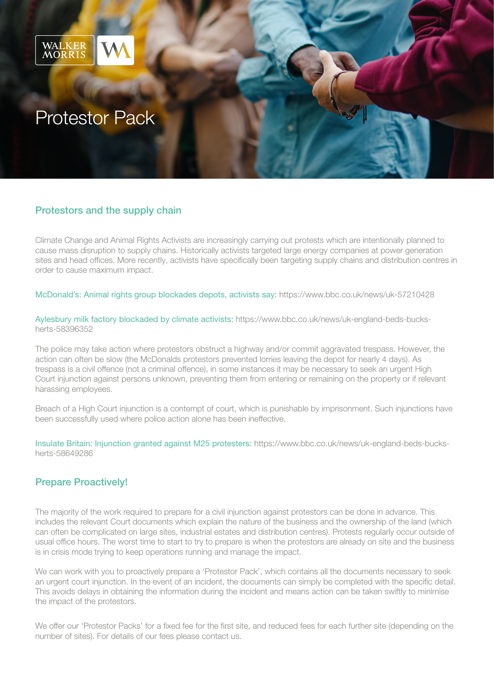

# Protestor Pack

#### Protestors and the supply chain

Climate Change and Animal Rights Activists are increasingly carrying out protests which are intentionally planned to cause mass disruption to supply chains. Historically activists targeted large energy companies at power generation sites and head offices. More recently, activists have specifically been targeting supply chains and distribution centres in order to cause maximum impact.

McDonald's: Animal rights group blockades depots, activists say: <https://www.bbc.co.uk/news/uk-57210428>

Aylesbury milk factory blockaded by climate activists: [https://www.bbc.co.uk/news/uk-england-beds-bucks](https://www.bbc.co.uk/news/uk-england-beds-bucks-herts-58396352)[herts-58396352](https://www.bbc.co.uk/news/uk-england-beds-bucks-herts-58396352)

The police may take action where protestors obstruct a highway and/or commit aggravated trespass. However, the action can often be slow (the McDonalds protestors prevented lorries leaving the depot for nearly 4 days). As trespass is a civil offence (not a criminal offence), in some instances it may be necessary to seek an urgent High Court injunction against persons unknown, preventing them from entering or remaining on the property or if relevant harassing employees.

Breach of a High Court injunction is a contempt of court, which is punishable by imprisonment. Such injunctions have been successfully used where police action alone has been ineffective.

Insulate Britain: Injunction granted against M25 protesters: [https://www.bbc.co.uk/news/uk-england-beds-bucks](https://www.bbc.co.uk/news/uk-england-beds-bucks-herts-58649286)[herts-58649286](https://www.bbc.co.uk/news/uk-england-beds-bucks-herts-58649286)

### Prepare Proactively!

The majority of the work required to prepare for a civil injunction against protestors can be done in advance. This includes the relevant Court documents which explain the nature of the business and the ownership of the land (which can often be complicated on large sites, industrial estates and distribution centres). Protests regularly occur outside of usual office hours. The worst time to start to try to prepare is when the protestors are already on site and the business is in crisis mode trying to keep operations running and manage the impact.

We can work with you to proactively prepare a 'Protestor Pack', which contains all the documents necessary to seek an urgent court injunction. In the event of an incident, the documents can simply be completed with the specific detail. This avoids delays in obtaining the information during the incident and means action can be taken swiftly to minimise the impact of the protestors.

We offer our 'Protestor Packs' for a fixed fee for the first site, and reduced fees for each further site (depending on the number of sites). For details of our fees please contact us.